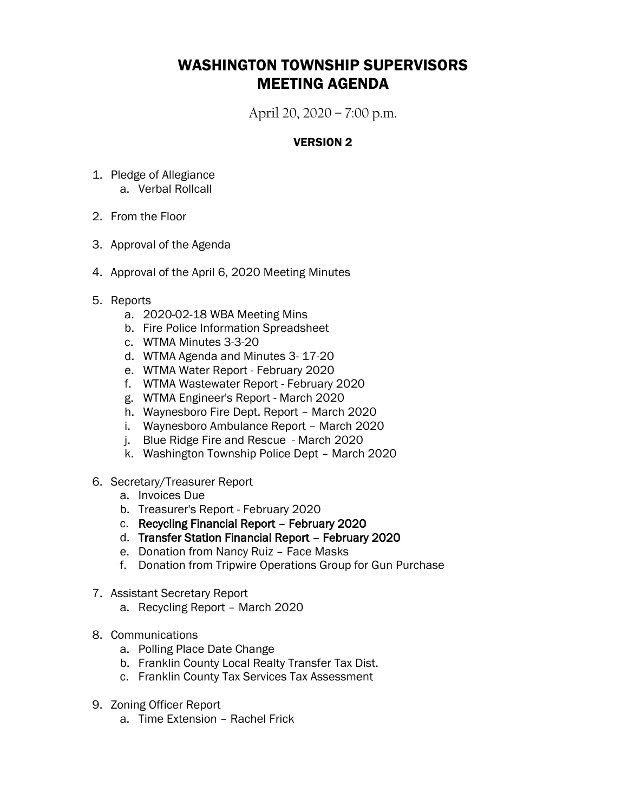## WASHINGTON TOWNSHIP SUPERVISORS MEETING AGENDA

April 20, 2020 – 7:00 p.m.

## VERSION 2

- 1. Pledge of Allegiance a. Verbal Rollcall
- 2. From the Floor
- 3. Approval of the Agenda
- 4. Approval of the April 6, 2020 Meeting Minutes
- 5. Reports
	- a. 2020-02-18 WBA Meeting Mins
	- b. Fire Police Information Spreadsheet
	- c. WTMA Minutes 3-3-20
	- d. WTMA Agenda and Minutes 3- 17-20
	- e. WTMA Water Report February 2020
	- f. WTMA Wastewater Report February 2020
	- g. WTMA Engineer's Report March 2020
	- h. Waynesboro Fire Dept. Report March 2020
	- i. Waynesboro Ambulance Report March 2020
	- j. Blue Ridge Fire and Rescue March 2020
	- k. Washington Township Police Dept March 2020
- 6. Secretary/Treasurer Report
	- a. Invoices Due
	- b. Treasurer's Report February 2020
	- c. Recycling Financial Report February 2020
	- d. Transfer Station Financial Report February 2020
	- e. Donation from Nancy Ruiz Face Masks
	- f. Donation from Tripwire Operations Group for Gun Purchase
- 7. Assistant Secretary Report
	- a. Recycling Report March 2020
- 8. Communications
	- a. Polling Place Date Change
	- b. Franklin County Local Realty Transfer Tax Dist.
	- c. Franklin County Tax Services Tax Assessment
- 9. Zoning Officer Report
	- a. Time Extension Rachel Frick